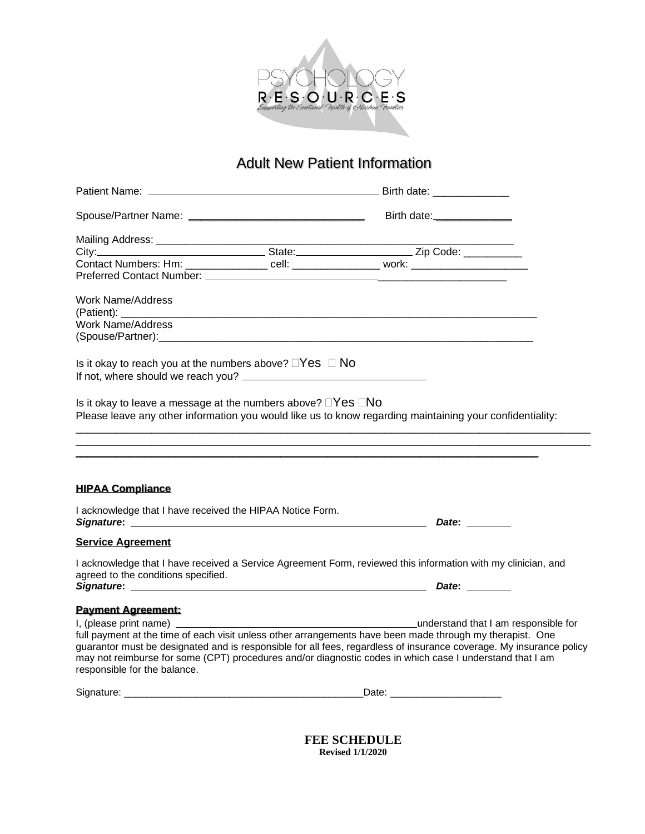

# Adult New Patient Information

|                                                                                      | Birth date: <b>Markeller</b>                                                                                                                                                                                                                                                                                                                 |  |
|--------------------------------------------------------------------------------------|----------------------------------------------------------------------------------------------------------------------------------------------------------------------------------------------------------------------------------------------------------------------------------------------------------------------------------------------|--|
|                                                                                      |                                                                                                                                                                                                                                                                                                                                              |  |
|                                                                                      | Example 2 and State: Contract 2 and 2 and 2 and 2 and 2 and 2 and 2 and 2 and 2 and 2 and 2 and 2 and 2 and 2 and 2 and 2 and 2 and 2 and 2 and 2 and 2 and 2 and 2 and 2 and 2 and 2 and 2 and 2 and 2 and 2 and 2 and 2 and                                                                                                                |  |
|                                                                                      | Contact Numbers: Hm: _________________ cell: _________________ work: ______________________________                                                                                                                                                                                                                                          |  |
| Preferred Contact Number: ________                                                   |                                                                                                                                                                                                                                                                                                                                              |  |
| Work Name/Address                                                                    |                                                                                                                                                                                                                                                                                                                                              |  |
| Work Name/Address                                                                    |                                                                                                                                                                                                                                                                                                                                              |  |
|                                                                                      |                                                                                                                                                                                                                                                                                                                                              |  |
| Is it okay to reach you at the numbers above? $\Box$ Yes $\Box$ No                   |                                                                                                                                                                                                                                                                                                                                              |  |
| Is it okay to leave a message at the numbers above? $\Box$ Yes $\Box$ No             | Please leave any other information you would like us to know regarding maintaining your confidentiality:                                                                                                                                                                                                                                     |  |
| <b>HIPAA Compliance</b><br>I acknowledge that I have received the HIPAA Notice Form. |                                                                                                                                                                                                                                                                                                                                              |  |
|                                                                                      |                                                                                                                                                                                                                                                                                                                                              |  |
| <b>Service Agreement</b>                                                             |                                                                                                                                                                                                                                                                                                                                              |  |
| agreed to the conditions specified.                                                  | I acknowledge that I have received a Service Agreement Form, reviewed this information with my clinician, and                                                                                                                                                                                                                                |  |
|                                                                                      | Signature: Date: Date: Date: Date: Date: Date: Date: Date: Date: Date: Date: Date: Date: Date: Date: Date: Date: Date: Date: Date: Date: Date: Date: Date: Date: Date: Date: Date: Date: Date: Date: Date: Date: Date: Date: D                                                                                                               |  |
| <b>Payment Agreement:</b>                                                            |                                                                                                                                                                                                                                                                                                                                              |  |
|                                                                                      |                                                                                                                                                                                                                                                                                                                                              |  |
| responsible for the balance.                                                         | full payment at the time of each visit unless other arrangements have been made through my therapist. One<br>guarantor must be designated and is responsible for all fees, regardless of insurance coverage. My insurance policy<br>may not reimburse for some (CPT) procedures and/or diagnostic codes in which case I understand that I am |  |
|                                                                                      | Date: _________________________                                                                                                                                                                                                                                                                                                              |  |
|                                                                                      |                                                                                                                                                                                                                                                                                                                                              |  |

**FEE SCHEDULE Revised 1/1/2020**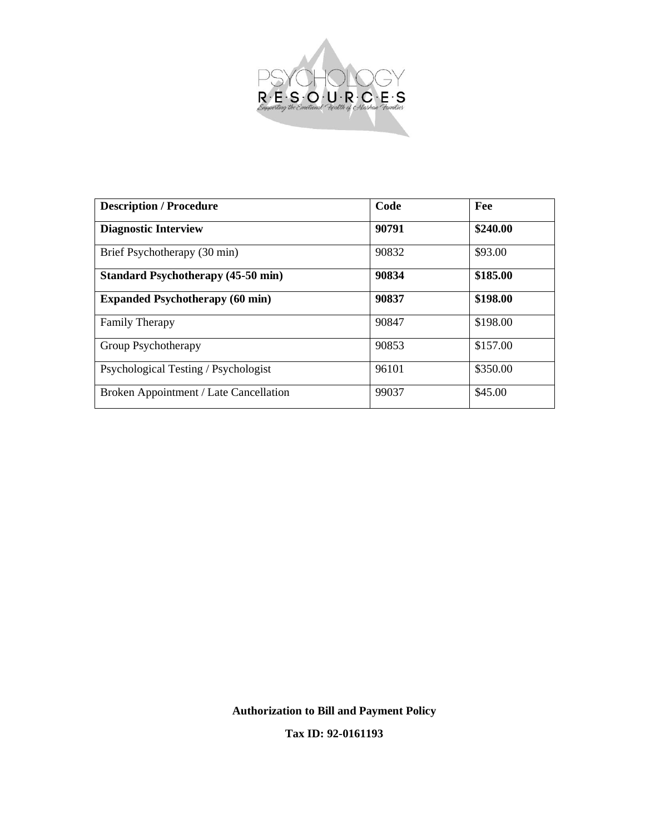

| <b>Description / Procedure</b>            | Code  | Fee      |
|-------------------------------------------|-------|----------|
| <b>Diagnostic Interview</b>               | 90791 | \$240.00 |
| Brief Psychotherapy (30 min)              | 90832 | \$93.00  |
| <b>Standard Psychotherapy (45-50 min)</b> | 90834 | \$185.00 |
| <b>Expanded Psychotherapy (60 min)</b>    | 90837 | \$198.00 |
| <b>Family Therapy</b>                     | 90847 | \$198.00 |
| Group Psychotherapy                       | 90853 | \$157.00 |
| Psychological Testing / Psychologist      | 96101 | \$350.00 |
| Broken Appointment / Late Cancellation    | 99037 | \$45.00  |

**Authorization to Bill and Payment Policy**

**Tax ID: 92-0161193**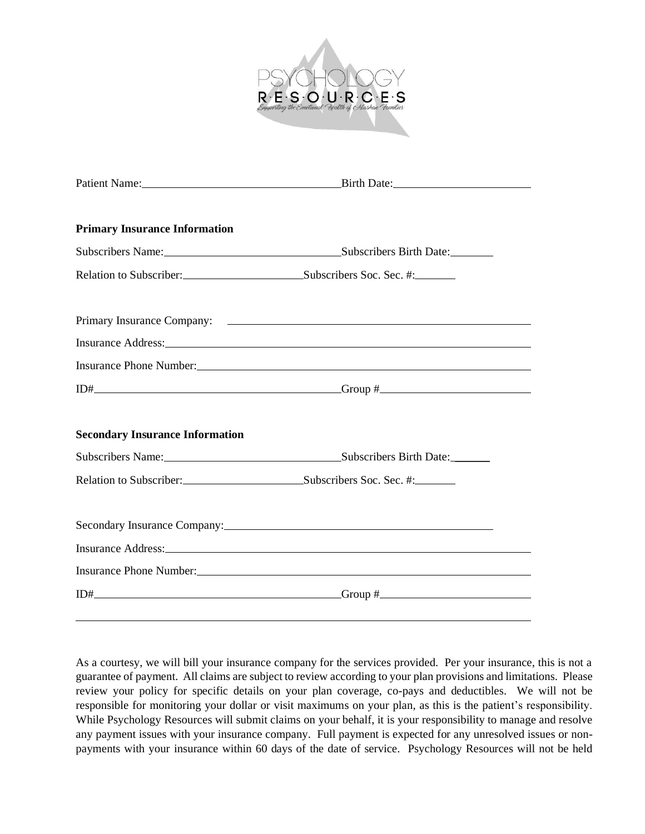

| <b>Primary Insurance Information</b>             |                                                                                                                                                                                                                                |
|--------------------------------------------------|--------------------------------------------------------------------------------------------------------------------------------------------------------------------------------------------------------------------------------|
|                                                  | Subscribers Name: Subscribers Birth Date: Subscribers Birth Date:                                                                                                                                                              |
| Relation to Subscriber: Subscribers Soc. Sec. #: |                                                                                                                                                                                                                                |
|                                                  |                                                                                                                                                                                                                                |
|                                                  |                                                                                                                                                                                                                                |
|                                                  | Insurance Phone Number: <u>Number</u> 2004                                                                                                                                                                                     |
|                                                  | $\text{I}$                                                                                                                                                                                                                     |
| <b>Secondary Insurance Information</b>           |                                                                                                                                                                                                                                |
|                                                  | Subscribers Name: Subscribers Birth Date:                                                                                                                                                                                      |
| Relation to Subscriber: Subscribers Soc. Sec. #: |                                                                                                                                                                                                                                |
|                                                  | Secondary Insurance Company: 2008 and 2008 and 2008 and 2008 and 2008 and 2008 and 2008 and 2008 and 2008 and 2008 and 2008 and 2008 and 2008 and 2008 and 2008 and 2008 and 2008 and 2008 and 2008 and 2008 and 2008 and 2008 |
|                                                  | Insurance Address: No. 1996. The Contract of the Contract of the Contract of the Contract of the Contract of the Contract of the Contract of the Contract of the Contract of the Contract of the Contract of the Contract of t |
|                                                  |                                                                                                                                                                                                                                |
|                                                  | $\text{I}$                                                                                                                                                                                                                     |

As a courtesy, we will bill your insurance company for the services provided. Per your insurance, this is not a guarantee of payment. All claims are subject to review according to your plan provisions and limitations. Please review your policy for specific details on your plan coverage, co-pays and deductibles. We will not be responsible for monitoring your dollar or visit maximums on your plan, as this is the patient's responsibility. While Psychology Resources will submit claims on your behalf, it is your responsibility to manage and resolve any payment issues with your insurance company. Full payment is expected for any unresolved issues or nonpayments with your insurance within 60 days of the date of service. Psychology Resources will not be held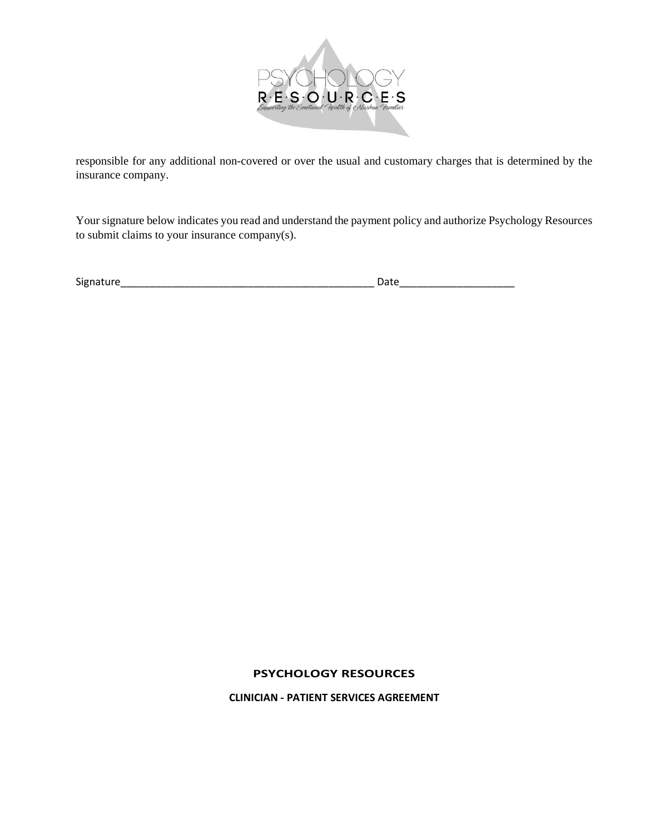

responsible for any additional non-covered or over the usual and customary charges that is determined by the insurance company.

Your signature below indicates you read and understand the payment policy and authorize Psychology Resources to submit claims to your insurance company(s).

| <b>Signature</b> | Date |
|------------------|------|
|                  |      |

## **PSYCHOLOGY RESOURCES**

**CLINICIAN - PATIENT SERVICES AGREEMENT**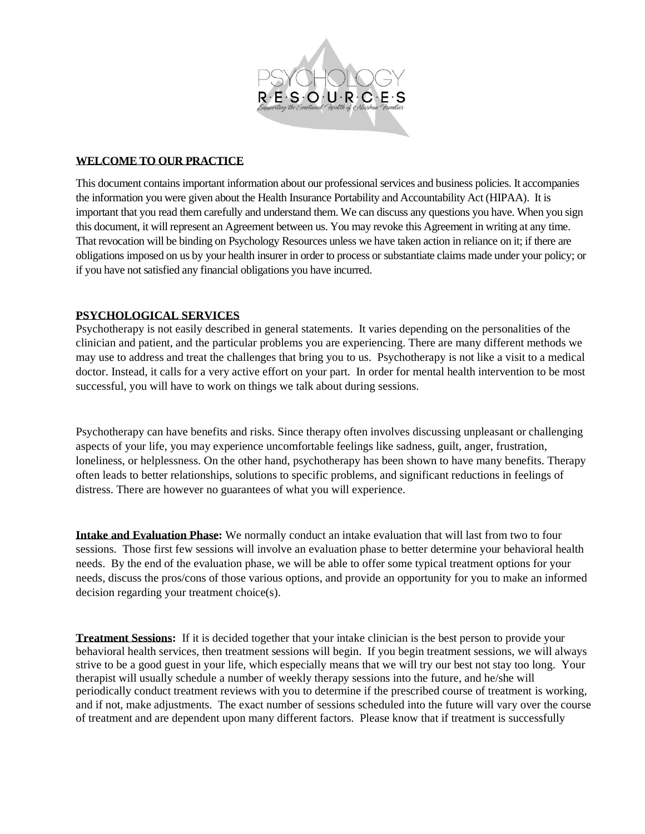

#### **WELCOME TO OUR PRACTICE**

This document contains important information about our professional services and business policies. It accompanies the information you were given about the Health Insurance Portability and Accountability Act (HIPAA). It is important that you read them carefully and understand them. We can discuss any questions you have. When you sign this document, it will represent an Agreement between us. You may revoke this Agreement in writing at any time. That revocation will be binding on Psychology Resources unless we have taken action in reliance on it; if there are obligations imposed on us by your health insurer in order to process or substantiate claims made under your policy; or if you have not satisfied any financial obligations you have incurred.

## **PSYCHOLOGICAL SERVICES**

Psychotherapy is not easily described in general statements. It varies depending on the personalities of the clinician and patient, and the particular problems you are experiencing. There are many different methods we may use to address and treat the challenges that bring you to us. Psychotherapy is not like a visit to a medical doctor. Instead, it calls for a very active effort on your part. In order for mental health intervention to be most successful, you will have to work on things we talk about during sessions.

Psychotherapy can have benefits and risks. Since therapy often involves discussing unpleasant or challenging aspects of your life, you may experience uncomfortable feelings like sadness, guilt, anger, frustration, loneliness, or helplessness. On the other hand, psychotherapy has been shown to have many benefits. Therapy often leads to better relationships, solutions to specific problems, and significant reductions in feelings of distress. There are however no guarantees of what you will experience.

**Intake and Evaluation Phase:** We normally conduct an intake evaluation that will last from two to four sessions. Those first few sessions will involve an evaluation phase to better determine your behavioral health needs. By the end of the evaluation phase, we will be able to offer some typical treatment options for your needs, discuss the pros/cons of those various options, and provide an opportunity for you to make an informed decision regarding your treatment choice(s).

**Treatment Sessions:** If it is decided together that your intake clinician is the best person to provide your behavioral health services, then treatment sessions will begin. If you begin treatment sessions, we will always strive to be a good guest in your life, which especially means that we will try our best not stay too long. Your therapist will usually schedule a number of weekly therapy sessions into the future, and he/she will periodically conduct treatment reviews with you to determine if the prescribed course of treatment is working, and if not, make adjustments. The exact number of sessions scheduled into the future will vary over the course of treatment and are dependent upon many different factors. Please know that if treatment is successfully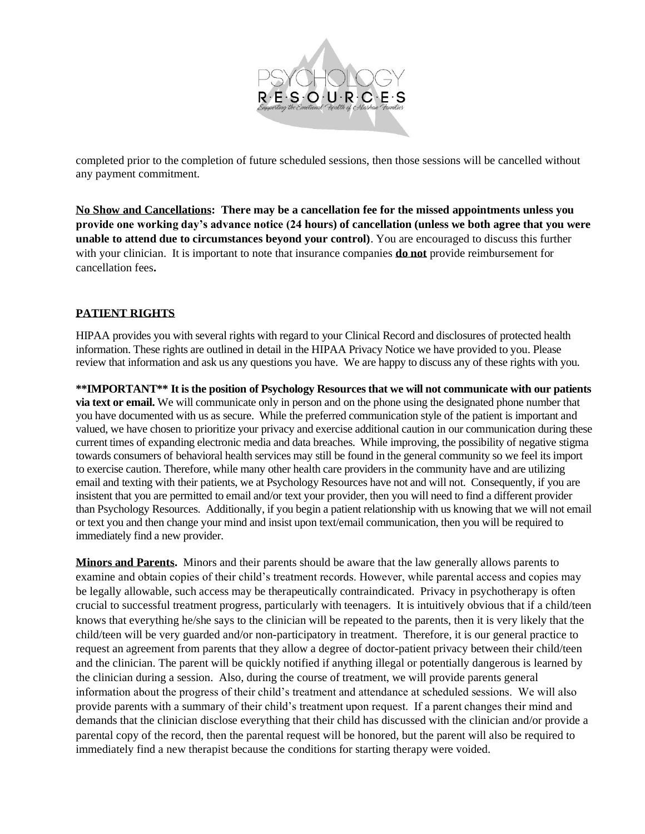

completed prior to the completion of future scheduled sessions, then those sessions will be cancelled without any payment commitment.

**No Show and Cancellations: There may be a cancellation fee for the missed appointments unless you provide one working day's advance notice (24 hours) of cancellation (unless we both agree that you were unable to attend due to circumstances beyond your control)**. You are encouraged to discuss this further with your clinician. It is important to note that insurance companies **do not** provide reimbursement for cancellation fees**.** 

# **PATIENT RIGHTS**

HIPAA provides you with several rights with regard to your Clinical Record and disclosures of protected health information. These rights are outlined in detail in the HIPAA Privacy Notice we have provided to you. Please review that information and ask us any questions you have. We are happy to discuss any of these rights with you.

**\*\*IMPORTANT\*\* It is the position of Psychology Resources that we will not communicate with our patients via text or email.** We will communicate only in person and on the phone using the designated phone number that you have documented with us as secure. While the preferred communication style of the patient is important and valued, we have chosen to prioritize your privacy and exercise additional caution in our communication during these current times of expanding electronic media and data breaches. While improving, the possibility of negative stigma towards consumers of behavioral health services may still be found in the general community so we feel its import to exercise caution. Therefore, while many other health care providers in the community have and are utilizing email and texting with their patients, we at Psychology Resources have not and will not. Consequently, if you are insistent that you are permitted to email and/or text your provider, then you will need to find a different provider than Psychology Resources. Additionally, if you begin a patient relationship with us knowing that we will not email or text you and then change your mind and insist upon text/email communication, then you will be required to immediately find a new provider.

**Minors and Parents.** Minors and their parents should be aware that the law generally allows parents to examine and obtain copies of their child's treatment records. However, while parental access and copies may be legally allowable, such access may be therapeutically contraindicated. Privacy in psychotherapy is often crucial to successful treatment progress, particularly with teenagers. It is intuitively obvious that if a child/teen knows that everything he/she says to the clinician will be repeated to the parents, then it is very likely that the child/teen will be very guarded and/or non-participatory in treatment. Therefore, it is our general practice to request an agreement from parents that they allow a degree of doctor-patient privacy between their child/teen and the clinician. The parent will be quickly notified if anything illegal or potentially dangerous is learned by the clinician during a session. Also, during the course of treatment, we will provide parents general information about the progress of their child's treatment and attendance at scheduled sessions. We will also provide parents with a summary of their child's treatment upon request. If a parent changes their mind and demands that the clinician disclose everything that their child has discussed with the clinician and/or provide a parental copy of the record, then the parental request will be honored, but the parent will also be required to immediately find a new therapist because the conditions for starting therapy were voided.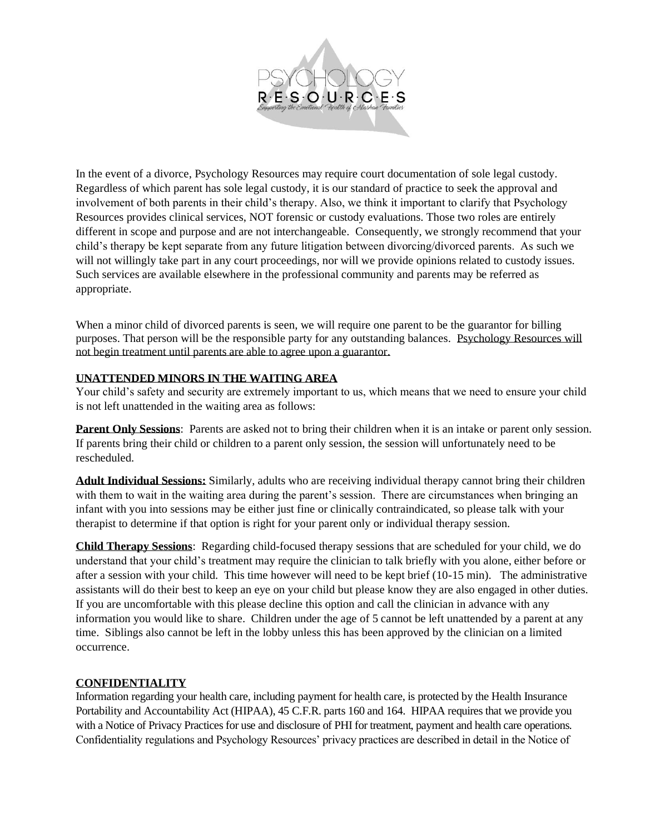

In the event of a divorce, Psychology Resources may require court documentation of sole legal custody. Regardless of which parent has sole legal custody, it is our standard of practice to seek the approval and involvement of both parents in their child's therapy. Also, we think it important to clarify that Psychology Resources provides clinical services, NOT forensic or custody evaluations. Those two roles are entirely different in scope and purpose and are not interchangeable. Consequently, we strongly recommend that your child's therapy be kept separate from any future litigation between divorcing/divorced parents. As such we will not willingly take part in any court proceedings, nor will we provide opinions related to custody issues. Such services are available elsewhere in the professional community and parents may be referred as appropriate.

When a minor child of divorced parents is seen, we will require one parent to be the guarantor for billing purposes. That person will be the responsible party for any outstanding balances. Psychology Resources will not begin treatment until parents are able to agree upon a guarantor.

#### **UNATTENDED MINORS IN THE WAITING AREA**

Your child's safety and security are extremely important to us, which means that we need to ensure your child is not left unattended in the waiting area as follows:

**Parent Only Sessions**: Parents are asked not to bring their children when it is an intake or parent only session. If parents bring their child or children to a parent only session, the session will unfortunately need to be rescheduled.

**Adult Individual Sessions:** Similarly, adults who are receiving individual therapy cannot bring their children with them to wait in the waiting area during the parent's session. There are circumstances when bringing an infant with you into sessions may be either just fine or clinically contraindicated, so please talk with your therapist to determine if that option is right for your parent only or individual therapy session.

**Child Therapy Sessions**: Regarding child-focused therapy sessions that are scheduled for your child, we do understand that your child's treatment may require the clinician to talk briefly with you alone, either before or after a session with your child. This time however will need to be kept brief (10-15 min). The administrative assistants will do their best to keep an eye on your child but please know they are also engaged in other duties. If you are uncomfortable with this please decline this option and call the clinician in advance with any information you would like to share. Children under the age of 5 cannot be left unattended by a parent at any time. Siblings also cannot be left in the lobby unless this has been approved by the clinician on a limited occurrence.

#### **CONFIDENTIALITY**

Information regarding your health care, including payment for health care, is protected by the Health Insurance Portability and Accountability Act (HIPAA), 45 C.F.R. parts 160 and 164. HIPAA requires that we provide you with a Notice of Privacy Practices for use and disclosure of PHI for treatment, payment and health care operations. Confidentiality regulations and Psychology Resources' privacy practices are described in detail in the Notice of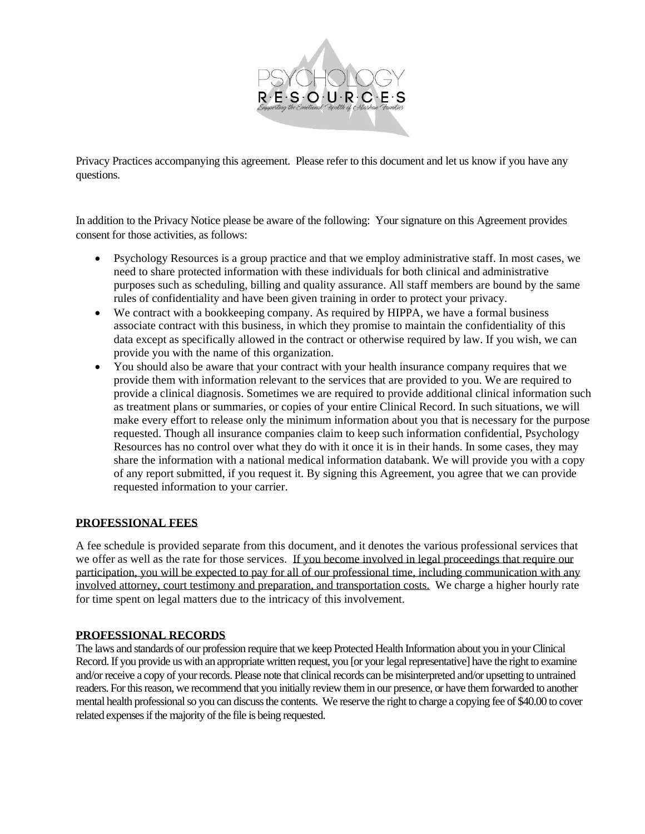

Privacy Practices accompanying this agreement. Please refer to this document and let us know if you have any questions.

In addition to the Privacy Notice please be aware of the following: Your signature on this Agreement provides consent for those activities, as follows:

- Psychology Resources is a group practice and that we employ administrative staff. In most cases, we need to share protected information with these individuals for both clinical and administrative purposes such as scheduling, billing and quality assurance. All staff members are bound by the same rules of confidentiality and have been given training in order to protect your privacy.
- We contract with a bookkeeping company. As required by HIPPA, we have a formal business associate contract with this business, in which they promise to maintain the confidentiality of this data except as specifically allowed in the contract or otherwise required by law. If you wish, we can provide you with the name of this organization.
- You should also be aware that your contract with your health insurance company requires that we provide them with information relevant to the services that are provided to you. We are required to provide a clinical diagnosis. Sometimes we are required to provide additional clinical information such as treatment plans or summaries, or copies of your entire Clinical Record. In such situations, we will make every effort to release only the minimum information about you that is necessary for the purpose requested. Though all insurance companies claim to keep such information confidential, Psychology Resources has no control over what they do with it once it is in their hands. In some cases, they may share the information with a national medical information databank. We will provide you with a copy of any report submitted, if you request it. By signing this Agreement, you agree that we can provide requested information to your carrier.

#### **PROFESSIONAL FEES**

A fee schedule is provided separate from this document, and it denotes the various professional services that we offer as well as the rate for those services. If you become involved in legal proceedings that require our participation, you will be expected to pay for all of our professional time, including communication with any involved attorney, court testimony and preparation, and transportation costs. We charge a higher hourly rate for time spent on legal matters due to the intricacy of this involvement.

#### **PROFESSIONAL RECORDS**

The laws and standards of our profession require that we keep Protected Health Information about you in your Clinical Record. If you provide us with an appropriate written request, you [or your legal representative] have the right to examine and/or receive a copy of your records. Please note that clinical records can be misinterpreted and/or upsetting to untrained readers. For this reason, we recommend that you initially review them in our presence, or have them forwarded to another mental health professional so you can discuss the contents. We reserve the right to charge a copying fee of \$40.00 to cover related expensesif the majority of the file is being requested.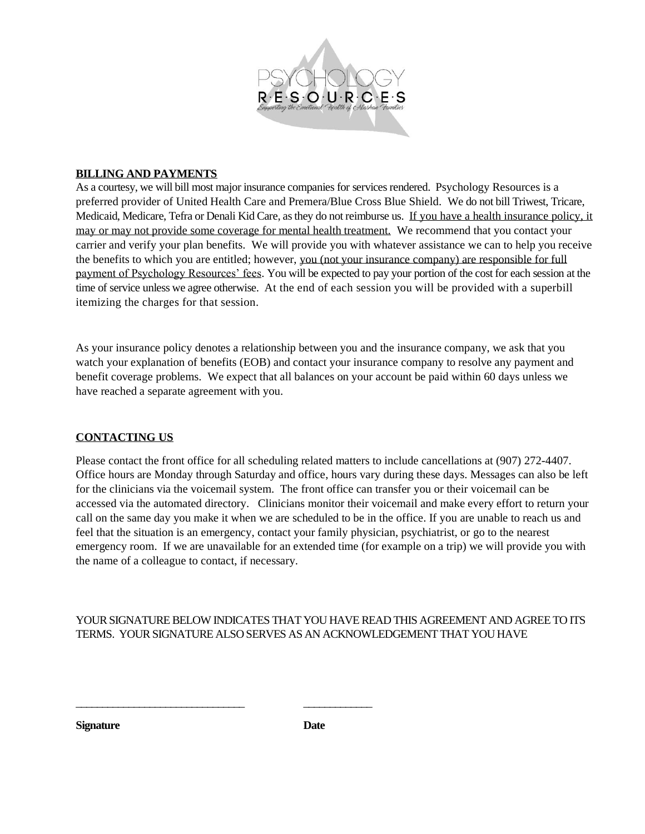

#### **BILLING AND PAYMENTS**

As a courtesy, we will bill most major insurance companies for services rendered. Psychology Resources is a preferred provider of United Health Care and Premera/Blue Cross Blue Shield. We do not bill Triwest, Tricare, Medicaid, Medicare, Tefra or Denali Kid Care, as they do not reimburse us. If you have a health insurance policy, it may or may not provide some coverage for mental health treatment. We recommend that you contact your carrier and verify your plan benefits. We will provide you with whatever assistance we can to help you receive the benefits to which you are entitled; however, you (not your insurance company) are responsible for full payment of Psychology Resources' fees. You will be expected to pay your portion of the cost for each session at the time of service unless we agree otherwise. At the end of each session you will be provided with a superbill itemizing the charges for that session.

As your insurance policy denotes a relationship between you and the insurance company, we ask that you watch your explanation of benefits (EOB) and contact your insurance company to resolve any payment and benefit coverage problems. We expect that all balances on your account be paid within 60 days unless we have reached a separate agreement with you.

#### **CONTACTING US**

Please contact the front office for all scheduling related matters to include cancellations at (907) 272-4407. Office hours are Monday through Saturday and office, hours vary during these days. Messages can also be left for the clinicians via the voicemail system. The front office can transfer you or their voicemail can be accessed via the automated directory. Clinicians monitor their voicemail and make every effort to return your call on the same day you make it when we are scheduled to be in the office. If you are unable to reach us and feel that the situation is an emergency, contact your family physician, psychiatrist, or go to the nearest emergency room. If we are unavailable for an extended time (for example on a trip) we will provide you with the name of a colleague to contact, if necessary.

YOUR SIGNATURE BELOW INDICATES THAT YOU HAVE READ THIS AGREEMENT AND AGREE TO ITS TERMS. YOUR SIGNATURE ALSO SERVES AS AN ACKNOWLEDGEMENT THAT YOU HAVE

**Signature Date**

\_\_\_\_\_\_\_\_\_\_\_\_\_\_\_\_\_\_\_\_\_\_\_\_\_\_\_\_\_\_\_\_ \_\_\_\_\_\_\_\_\_\_\_\_\_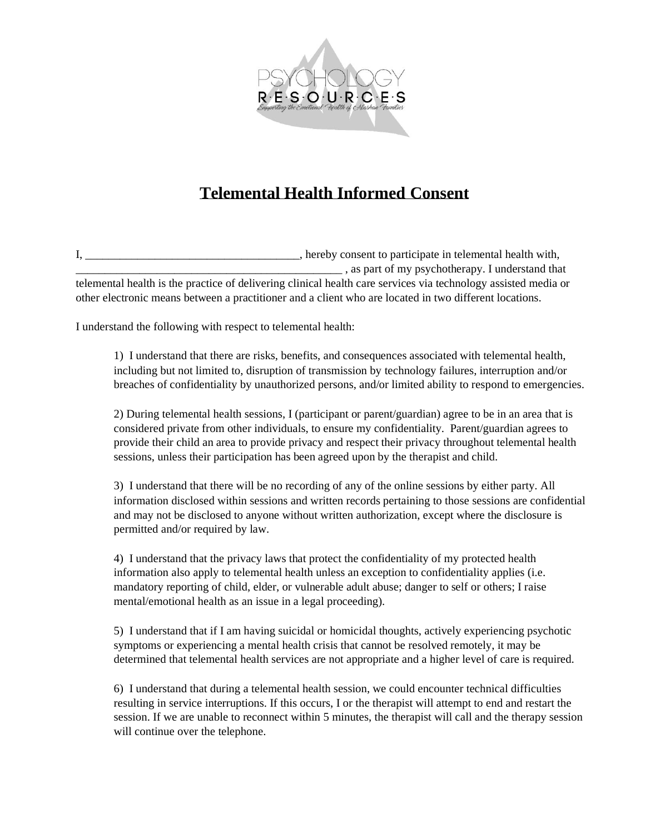

# **Telemental Health Informed Consent**

I, \_\_\_\_\_\_\_\_\_\_\_\_\_\_\_\_\_\_\_\_\_\_\_\_\_\_\_\_\_\_\_\_\_\_\_\_\_, hereby consent to participate in telemental health with, \_\_\_\_\_\_\_\_\_\_\_\_\_\_\_\_\_\_\_\_\_\_\_\_\_\_\_\_\_\_\_\_\_\_\_\_\_\_\_\_\_\_\_\_\_\_ , as part of my psychotherapy. I understand that telemental health is the practice of delivering clinical health care services via technology assisted media or other electronic means between a practitioner and a client who are located in two different locations.

I understand the following with respect to telemental health:

1) I understand that there are risks, benefits, and consequences associated with telemental health, including but not limited to, disruption of transmission by technology failures, interruption and/or breaches of confidentiality by unauthorized persons, and/or limited ability to respond to emergencies.

2) During telemental health sessions, I (participant or parent/guardian) agree to be in an area that is considered private from other individuals, to ensure my confidentiality. Parent/guardian agrees to provide their child an area to provide privacy and respect their privacy throughout telemental health sessions, unless their participation has been agreed upon by the therapist and child.

3) I understand that there will be no recording of any of the online sessions by either party. All information disclosed within sessions and written records pertaining to those sessions are confidential and may not be disclosed to anyone without written authorization, except where the disclosure is permitted and/or required by law.

4) I understand that the privacy laws that protect the confidentiality of my protected health information also apply to telemental health unless an exception to confidentiality applies (i.e. mandatory reporting of child, elder, or vulnerable adult abuse; danger to self or others; I raise mental/emotional health as an issue in a legal proceeding).

5) I understand that if I am having suicidal or homicidal thoughts, actively experiencing psychotic symptoms or experiencing a mental health crisis that cannot be resolved remotely, it may be determined that telemental health services are not appropriate and a higher level of care is required.

6) I understand that during a telemental health session, we could encounter technical difficulties resulting in service interruptions. If this occurs, I or the therapist will attempt to end and restart the session. If we are unable to reconnect within 5 minutes, the therapist will call and the therapy session will continue over the telephone.